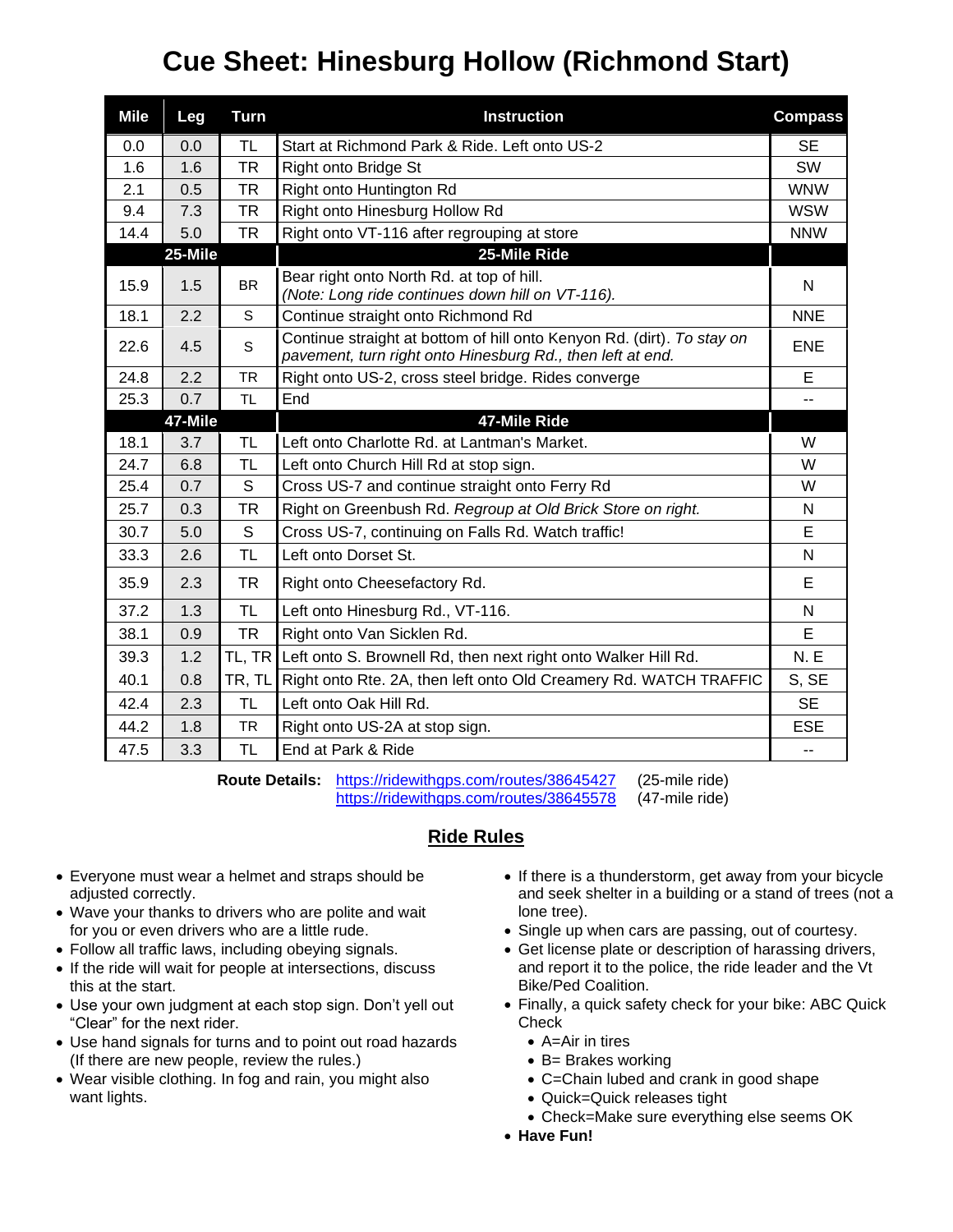## **Cue Sheet: Hinesburg Hollow (Richmond Start)**

| <b>Mile</b> | <b>Leg</b> | <b>Turn</b> | <b>Instruction</b>                                                                                                                   | <b>Compass</b> |
|-------------|------------|-------------|--------------------------------------------------------------------------------------------------------------------------------------|----------------|
| 0.0         | 0.0        | TL          | Start at Richmond Park & Ride. Left onto US-2                                                                                        | <b>SE</b>      |
| 1.6         | 1.6        | <b>TR</b>   | Right onto Bridge St                                                                                                                 | SW             |
| 2.1         | 0.5        | TR          | Right onto Huntington Rd                                                                                                             | <b>WNW</b>     |
| 9.4         | 7.3        | <b>TR</b>   | Right onto Hinesburg Hollow Rd                                                                                                       | <b>WSW</b>     |
| 14.4        | 5.0        | <b>TR</b>   | Right onto VT-116 after regrouping at store                                                                                          | <b>NNW</b>     |
|             | 25-Mile    |             | 25-Mile Ride                                                                                                                         |                |
| 15.9        | 1.5        | <b>BR</b>   | Bear right onto North Rd. at top of hill.<br>(Note: Long ride continues down hill on VT-116).                                        | N              |
| 18.1        | 2.2        | S           | Continue straight onto Richmond Rd                                                                                                   | <b>NNE</b>     |
| 22.6        | 4.5        | S           | Continue straight at bottom of hill onto Kenyon Rd. (dirt). To stay on<br>pavement, turn right onto Hinesburg Rd., then left at end. | <b>ENE</b>     |
| 24.8        | 2.2        | <b>TR</b>   | Right onto US-2, cross steel bridge. Rides converge                                                                                  | E              |
| 25.3        | 0.7        | <b>TL</b>   | End                                                                                                                                  | -−             |
|             | 47-Mile    |             | 47-Mile Ride                                                                                                                         |                |
| 18.1        | 3.7        | <b>TL</b>   | Left onto Charlotte Rd. at Lantman's Market.                                                                                         | W              |
| 24.7        | 6.8        | TL          | Left onto Church Hill Rd at stop sign.                                                                                               | W              |
| 25.4        | 0.7        | S           | Cross US-7 and continue straight onto Ferry Rd                                                                                       | W              |
| 25.7        | 0.3        | TR          | Right on Greenbush Rd. Regroup at Old Brick Store on right.                                                                          | N              |
| 30.7        | 5.0        | S           | Cross US-7, continuing on Falls Rd. Watch traffic!                                                                                   | Е              |
| 33.3        | 2.6        | <b>TL</b>   | Left onto Dorset St.                                                                                                                 | N              |
| 35.9        | 2.3        | <b>TR</b>   | Right onto Cheesefactory Rd.                                                                                                         | E              |
| 37.2        | 1.3        | <b>TL</b>   | Left onto Hinesburg Rd., VT-116.                                                                                                     | N              |
| 38.1        | 0.9        | <b>TR</b>   | Right onto Van Sicklen Rd.                                                                                                           | E              |
| 39.3        | 1.2        | TL, TR      | Left onto S. Brownell Rd, then next right onto Walker Hill Rd.                                                                       | <b>N.E</b>     |
| 40.1        | 0.8        | TR, TL      | Right onto Rte. 2A, then left onto Old Creamery Rd. WATCH TRAFFIC                                                                    | S, SE          |
| 42.4        | 2.3        | TL          | Left onto Oak Hill Rd.                                                                                                               | <b>SE</b>      |
| 44.2        | 1.8        | <b>TR</b>   | Right onto US-2A at stop sign.                                                                                                       | <b>ESE</b>     |
| 47.5        | 3.3        | <b>TL</b>   | End at Park & Ride                                                                                                                   | $-$            |

**Route Details:** <https://ridewithgps.com/routes/38645427> (25-mile ride) <https://ridewithgps.com/routes/38645578> (47-mile ride)

## **Ride Rules**

- Everyone must wear a helmet and straps should be adjusted correctly.
- Wave your thanks to drivers who are polite and wait for you or even drivers who are a little rude.
- Follow all traffic laws, including obeying signals.
- If the ride will wait for people at intersections, discuss this at the start.
- Use your own judgment at each stop sign. Don't yell out "Clear" for the next rider.
- Use hand signals for turns and to point out road hazards (If there are new people, review the rules.)
- Wear visible clothing. In fog and rain, you might also want lights.
- If there is a thunderstorm, get away from your bicycle and seek shelter in a building or a stand of trees (not a lone tree).
- Single up when cars are passing, out of courtesy.
- Get license plate or description of harassing drivers, and report it to the police, the ride leader and the Vt Bike/Ped Coalition.
- Finally, a quick safety check for your bike: ABC Quick **Check** 
	- A=Air in tires
	- B= Brakes working
	- C=Chain lubed and crank in good shape
	- Quick=Quick releases tight
	- Check=Make sure everything else seems OK
- **Have Fun!**